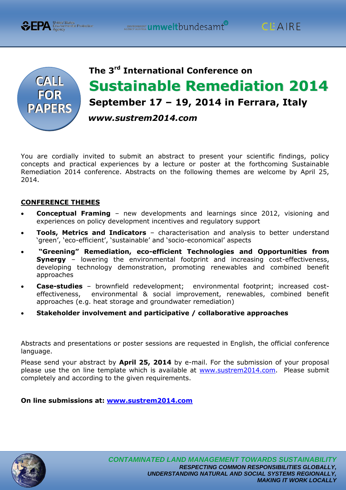



**CPA** Environmental Protection

# **The 3 rd International Conference on Sustainable Remediation 2014 September 17 – 19, 2014 in Ferrara, Italy**  *www.sustrem2014.com*

You are cordially invited to submit an abstract to present your scientific findings, policy concepts and practical experiences by a lecture or poster at the forthcoming Sustainable Remediation 2014 conference. Abstracts on the following themes are welcome by April 25, 2014.

## **CONFERENCE THEMES**

- **Conceptual Framing**  new developments and learnings since 2012, visioning and experiences on policy development incentives and regulatory support
- **Tools, Metrics and Indicators**  characterisation and analysis to better understand 'green', 'eco-efficient', 'sustainable' and 'socio-economical' aspects
- **"Greening" Remediation, eco-efficient Technologies and Opportunities from Synergy** – lowering the environmental footprint and increasing cost-effectiveness, developing technology demonstration, promoting renewables and combined benefit approaches
- **Case-studies**  brownfield redevelopment; environmental footprint; increased costeffectiveness, environmental & social improvement, renewables, combined benefit approaches (e.g. heat storage and groundwater remediation)
- **Stakeholder involvement and participative / collaborative approaches**

Abstracts and presentations or poster sessions are requested in English, the official conference language.

Please send your abstract by **April 25, 2014** by e-mail. For the submission of your proposal please use the on line template which is available at [www.sustrem2014.com.](http://www.sustrem2014.com/) Please submit completely and according to the given requirements.

**On line submissions at: [www.sustrem2014.com](http://www.sustrem2014.com/)**

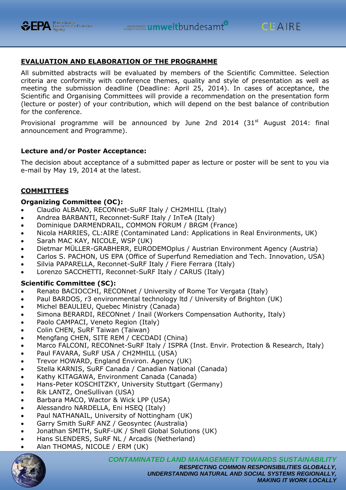



# **EVALUATION AND ELABORATION OF THE PROGRAMME**

All submitted abstracts will be evaluated by members of the Scientific Committee. Selection criteria are conformity with conference themes, quality and style of presentation as well as meeting the submission deadline (Deadline: April 25, 2014). In cases of acceptance, the Scientific and Organising Committees will provide a recommendation on the presentation form (lecture or poster) of your contribution, which will depend on the best balance of contribution for the conference.

Provisional programme will be announced by June 2nd 2014  $(31<sup>st</sup>$  August 2014: final announcement and Programme).

#### **Lecture and/or Poster Acceptance:**

The decision about acceptance of a submitted paper as lecture or poster will be sent to you via e-mail by May 19, 2014 at the latest.

## **COMMITTEES**

#### **Organizing Committee (OC):**

- Claudio ALBANO, RECONnet-SuRF Italy / CH2MHILL (Italy)
- Andrea BARBANTI, Reconnet-SuRF Italy / InTeA (Italy)
- Dominique DARMENDRAIL, COMMON FORUM / BRGM (France)
- Nicola HARRIES, CL:AIRE (Contaminated Land: Applications in Real Environments, UK)
- Sarah MAC KAY, NICOLE, WSP (UK)
- Dietmar MÜLLER-GRABHERR, EURODEMOplus / Austrian Environment Agency (Austria)
- Carlos S. PACHON, US EPA (Office of Superfund Remediation and Tech. Innovation, USA)
- Silvia PAPARELLA, Reconnet-SuRF Italy / Fiere Ferrara (Italy)
- Lorenzo SACCHETTI, Reconnet-SuRF Italy / CARUS (Italy)

## **Scientific Committee (SC):**

- Renato BACIOCCHI, RECONnet / University of Rome Tor Vergata (Italy)
- Paul BARDOS, r3 environmental technology ltd / University of Brighton (UK)
- Michel BEAULIEU, Quebec Ministry (Canada)
- Simona BERARDI, RECONnet / Inail (Workers Compensation Authority, Italy)
- Paolo CAMPACI, Veneto Region (Italy)
- Colin CHEN, SuRF Taiwan (Taiwan)
- Mengfang CHEN, SITE REM / CECDADI (China)
- Marco FALCONI, RECONnet-SuRF Italy / ISPRA (Inst. Envir. Protection & Research, Italy)
- Paul FAVARA, SuRF USA / CH2MHILL (USA)
- Trevor HOWARD, England Environ. Agency (UK)
- Stella KARNIS, SuRF Canada / Canadian National (Canada)
- Kathy KITAGAWA, Environment Canada (Canada)
- Hans-Peter KOSCHITZKY, University Stuttgart (Germany)
- Rik LANTZ, OneSullivan (USA)
- Barbara MACO, Wactor & Wick LPP (USA)
- Alessandro NARDELLA, Eni HSEQ (Italy)
- Paul NATHANAIL, University of Nottingham (UK)
- Garry Smith SuRF ANZ / Geosyntec (Australia)
- Jonathan SMITH, SuRF-UK / Shell Global Solutions (UK)
- Hans SLENDERS, SuRF NL / Arcadis (Netherland)
- Alan THOMAS, NICOLE / ERM (UK)